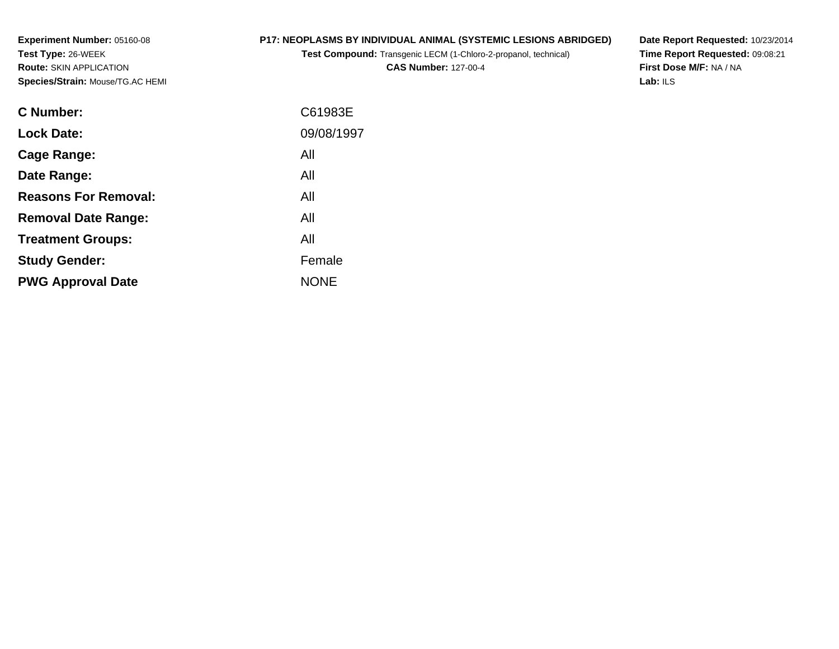**Experiment Number:** 05160-08**Test Type:** 26-WEEK **Route:** SKIN APPLICATION**Species/Strain:** Mouse/TG.AC HEMI

## **P17: NEOPLASMS BY INDIVIDUAL ANIMAL (SYSTEMIC LESIONS ABRIDGED)**

**Test Compound:** Transgenic LECM (1-Chloro-2-propanol, technical)

**CAS Number:** 127-00-4

**Date Report Requested:** 10/23/2014 **Time Report Requested:** 09:08:21**First Dose M/F:** NA / NA**Lab:** ILS

| C Number:                   | C61983E     |
|-----------------------------|-------------|
| <b>Lock Date:</b>           | 09/08/1997  |
| Cage Range:                 | All         |
| Date Range:                 | All         |
| <b>Reasons For Removal:</b> | All         |
| <b>Removal Date Range:</b>  | All         |
| <b>Treatment Groups:</b>    | All         |
| <b>Study Gender:</b>        | Female      |
| <b>PWG Approval Date</b>    | <b>NONE</b> |
|                             |             |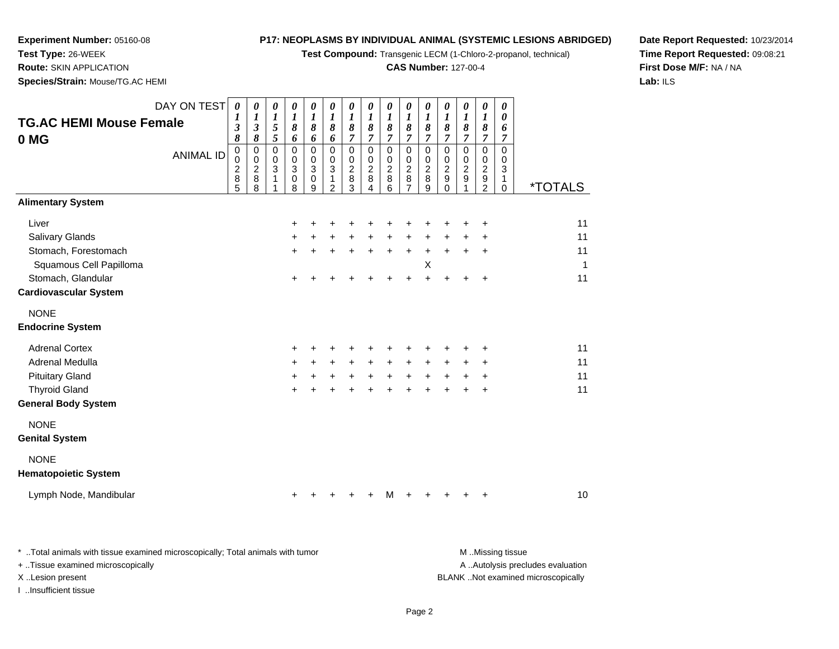**Test Compound:** Transgenic LECM (1-Chloro-2-propanol, technical)

## **CAS Number:** 127-00-4

**Date Report Requested:** 10/23/2014 **Time Report Requested:** 09:08:21**First Dose M/F:** NA / NA**Lab:** ILS

**Species/Strain:** Mouse/TG.AC HEMI

**Experiment Number:** 05160-08

**Test Type:** 26-WEEK**Route:** SKIN APPLICATION

| <b>TG.AC HEMI Mouse Female</b><br>0 MG                                                                                                                                                                                                                   | DAY ON TEST<br><b>ANIMAL ID</b> | $\boldsymbol{\theta}$<br>$\boldsymbol{l}$<br>$\mathfrak{z}$<br>8<br>$\mathsf 0$<br>0<br>$\frac{2}{8}$<br>5 | 0<br>$\boldsymbol{l}$<br>3<br>8<br>$\boldsymbol{0}$<br>$\mathbf 0$<br>$\overline{c}$<br>$\boldsymbol{8}$<br>8 | 0<br>$\boldsymbol{l}$<br>$\sqrt{5}$<br>5<br>$\pmb{0}$<br>$\pmb{0}$<br>$\ensuremath{\mathsf{3}}$<br>$\mathbf{1}$ | 0<br>$\boldsymbol{l}$<br>$\pmb{8}$<br>6<br>$\mathbf 0$<br>$\mathbf 0$<br>$\ensuremath{\mathsf{3}}$<br>$\mathsf 0$<br>8 | 0<br>1<br>8<br>6<br>$\mathbf 0$<br>0<br>3<br>0<br>9 | 0<br>$\boldsymbol{l}$<br>8<br>6<br>$\mathbf 0$<br>$\mathbf 0$<br>3<br>$\mathbf{1}$<br>$\overline{2}$ | 0<br>$\boldsymbol{l}$<br>8<br>$\overline{7}$<br>$\mathbf 0$<br>0<br>$\overline{c}$<br>$\,8\,$<br>3 | 0<br>$\boldsymbol{l}$<br>8<br>$\overline{7}$<br>$\mathbf 0$<br>0<br>$\boldsymbol{2}$<br>8<br>4 | 0<br>1<br>8<br>$\overline{7}$<br>0<br>0<br>$\overline{\mathbf{c}}$<br>8<br>6 | $\boldsymbol{\theta}$<br>1<br>$\pmb{8}$<br>$\overline{7}$<br>0<br>$\mathbf 0$<br>$\overline{2}$<br>$\,8\,$ | 0<br>1<br>8<br>$\overline{7}$<br>$\mathbf 0$<br>0<br>$\overline{c}$<br>8<br>9 | 0<br>1<br>8<br>$\overline{7}$<br>$\pmb{0}$<br>$\mathbf 0$<br>$\overline{2}$<br>$\boldsymbol{9}$<br>0 | 0<br>1<br>$\pmb{8}$<br>$\overline{7}$<br>$\mathbf 0$<br>0<br>$\boldsymbol{2}$<br>$\boldsymbol{9}$<br>1 | 0<br>$\boldsymbol{l}$<br>8<br>$\overline{7}$<br>$\pmb{0}$<br>0<br>$\overline{\mathbf{c}}$<br>$\frac{9}{2}$ | 0<br>0<br>6<br>7<br>0<br>0<br>3<br>$\mathbf{1}$<br>$\Omega$ | <i><b>*TOTALS</b></i> |                                             |
|----------------------------------------------------------------------------------------------------------------------------------------------------------------------------------------------------------------------------------------------------------|---------------------------------|------------------------------------------------------------------------------------------------------------|---------------------------------------------------------------------------------------------------------------|-----------------------------------------------------------------------------------------------------------------|------------------------------------------------------------------------------------------------------------------------|-----------------------------------------------------|------------------------------------------------------------------------------------------------------|----------------------------------------------------------------------------------------------------|------------------------------------------------------------------------------------------------|------------------------------------------------------------------------------|------------------------------------------------------------------------------------------------------------|-------------------------------------------------------------------------------|------------------------------------------------------------------------------------------------------|--------------------------------------------------------------------------------------------------------|------------------------------------------------------------------------------------------------------------|-------------------------------------------------------------|-----------------------|---------------------------------------------|
| <b>Alimentary System</b>                                                                                                                                                                                                                                 |                                 |                                                                                                            |                                                                                                               |                                                                                                                 |                                                                                                                        |                                                     |                                                                                                      |                                                                                                    |                                                                                                |                                                                              |                                                                                                            |                                                                               |                                                                                                      |                                                                                                        |                                                                                                            |                                                             |                       |                                             |
| Liver<br>Salivary Glands<br>Stomach, Forestomach<br>Squamous Cell Papilloma<br>Stomach, Glandular<br><b>Cardiovascular System</b><br><b>NONE</b><br><b>Endocrine System</b><br><b>Adrenal Cortex</b><br><b>Adrenal Medulla</b><br><b>Pituitary Gland</b> |                                 |                                                                                                            |                                                                                                               |                                                                                                                 | ÷<br>+<br>$\ddot{}$<br>+<br>+<br>$\ddot{}$<br>$\ddot{}$                                                                | $\ddot{}$<br>+<br>$\ddot{}$                         | $\pm$                                                                                                | $\ddot{}$<br>$\ddot{}$<br>$\ddot{}$                                                                | $\ddot{}$<br>$\ddot{}$                                                                         | $\ddot{}$<br>$\ddot{}$                                                       | $\ddot{}$<br>$+$                                                                                           | $\ddot{}$<br>Χ<br>$\ddot{}$                                                   | $\ddot{}$<br>+<br>$\ddot{}$                                                                          | $\ddot{}$<br>+                                                                                         | +<br>+<br>+<br>+<br>+<br>+<br>+                                                                            |                                                             |                       | 11<br>11<br>11<br>1<br>11<br>11<br>11<br>11 |
| <b>Thyroid Gland</b>                                                                                                                                                                                                                                     |                                 |                                                                                                            |                                                                                                               |                                                                                                                 | ÷                                                                                                                      |                                                     |                                                                                                      |                                                                                                    |                                                                                                |                                                                              |                                                                                                            |                                                                               |                                                                                                      |                                                                                                        | $\ddot{}$                                                                                                  |                                                             |                       | 11                                          |
| <b>General Body System</b>                                                                                                                                                                                                                               |                                 |                                                                                                            |                                                                                                               |                                                                                                                 |                                                                                                                        |                                                     |                                                                                                      |                                                                                                    |                                                                                                |                                                                              |                                                                                                            |                                                                               |                                                                                                      |                                                                                                        |                                                                                                            |                                                             |                       |                                             |
| <b>NONE</b><br><b>Genital System</b>                                                                                                                                                                                                                     |                                 |                                                                                                            |                                                                                                               |                                                                                                                 |                                                                                                                        |                                                     |                                                                                                      |                                                                                                    |                                                                                                |                                                                              |                                                                                                            |                                                                               |                                                                                                      |                                                                                                        |                                                                                                            |                                                             |                       |                                             |
| <b>NONE</b><br><b>Hematopoietic System</b>                                                                                                                                                                                                               |                                 |                                                                                                            |                                                                                                               |                                                                                                                 |                                                                                                                        |                                                     |                                                                                                      |                                                                                                    |                                                                                                |                                                                              |                                                                                                            |                                                                               |                                                                                                      |                                                                                                        |                                                                                                            |                                                             |                       |                                             |
| Lymph Node, Mandibular                                                                                                                                                                                                                                   |                                 |                                                                                                            |                                                                                                               |                                                                                                                 | ÷                                                                                                                      |                                                     |                                                                                                      |                                                                                                    | ٠                                                                                              | м                                                                            | $\pm$                                                                                                      |                                                                               | $\pm$                                                                                                | $\pm$                                                                                                  | $\ddot{}$                                                                                                  |                                                             |                       | 10                                          |

| Total animals with tissue examined microscopically; Total animals with tumor. | M Missing tissue                   |
|-------------------------------------------------------------------------------|------------------------------------|
| + Tissue examined microscopically                                             | A Autolysis precludes evaluation   |
| X Lesion present                                                              | BLANK Not examined microscopically |
| Insufficient tissue                                                           |                                    |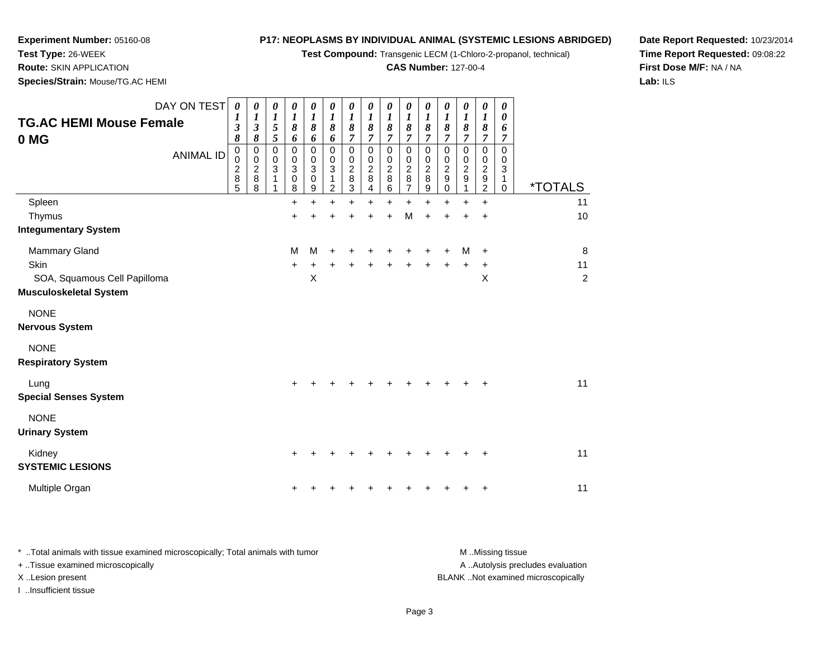**Test Compound:** Transgenic LECM (1-Chloro-2-propanol, technical)

**CAS Number:** 127-00-4

**Date Report Requested:** 10/23/2014**Time Report Requested:** 09:08:22**First Dose M/F:** NA / NA**Lab:** ILS

**Test Type:** 26-WEEK **Route:** SKIN APPLICATION**Species/Strain:** Mouse/TG.AC HEMI

**Experiment Number:** 05160-08

| DAY ON TEST<br><b>TG.AC HEMI Mouse Female</b><br>0 MG<br><b>ANIMAL ID</b>              | $\boldsymbol{\theta}$<br>3<br>8<br>0<br>0<br>$\overline{c}$<br>8<br>5 | 0<br>1<br>$\mathfrak{z}$<br>$\pmb{8}$<br>$\mathbf 0$<br>$\mathbf 0$<br>$\boldsymbol{2}$<br>$\,8\,$<br>8 | 0<br>1<br>5<br>5<br>0<br>0<br>3<br>1<br>1 | 0<br>1<br>8<br>6<br>0<br>0<br>$\mathbf{3}$<br>0<br>8 | 0<br>1<br>8<br>6<br>0<br>$\mathbf 0$<br>3<br>$\mathbf 0$<br>9 | 0<br>$\boldsymbol{l}$<br>8<br>6<br>$\pmb{0}$<br>$\mathbf 0$<br>3<br>1<br>2 | 0<br>1<br>8<br>7<br>0<br>0<br>$\overline{\mathbf{c}}$<br>8<br>3 | 0<br>$\boldsymbol{l}$<br>8<br>7<br>$\mathbf 0$<br>$\pmb{0}$<br>$\boldsymbol{2}$<br>$\,8\,$<br>4 | 0<br>$\boldsymbol{l}$<br>8<br>7<br>0<br>0<br>$\overline{c}$<br>8<br>6 | 0<br>1<br>$\boldsymbol{\delta}$<br>7<br>0<br>0<br>$\overline{c}$<br>8<br>7 | 0<br>1<br>8<br>$\overline{7}$<br>0<br>0<br>$\overline{c}$<br>8<br>9 | 0<br>1<br>8<br>7<br>0<br>0<br>$\overline{c}$<br>$\boldsymbol{9}$<br>0 | 0<br>$\boldsymbol{l}$<br>8<br>7<br>0<br>0<br>$\overline{\mathbf{c}}$<br>9<br>1 | 0<br>$\boldsymbol{l}$<br>8<br>7<br>0<br>0<br>$\overline{c}$<br>$\boldsymbol{9}$<br>$\overline{c}$ | 0<br>0<br>6<br>7<br>0<br>0<br>3<br>1<br>$\mathbf 0$ | <i><b>*TOTALS</b></i>     |
|----------------------------------------------------------------------------------------|-----------------------------------------------------------------------|---------------------------------------------------------------------------------------------------------|-------------------------------------------|------------------------------------------------------|---------------------------------------------------------------|----------------------------------------------------------------------------|-----------------------------------------------------------------|-------------------------------------------------------------------------------------------------|-----------------------------------------------------------------------|----------------------------------------------------------------------------|---------------------------------------------------------------------|-----------------------------------------------------------------------|--------------------------------------------------------------------------------|---------------------------------------------------------------------------------------------------|-----------------------------------------------------|---------------------------|
| Spleen<br>Thymus                                                                       |                                                                       |                                                                                                         |                                           | +<br>$\ddot{}$                                       |                                                               | +                                                                          |                                                                 |                                                                                                 | $\div$                                                                | +<br>M                                                                     | $\ddot{}$<br>$\ddot{}$                                              | +<br>$\ddot{}$                                                        | +<br>$\ddot{}$                                                                 | $\ddot{}$<br>$\ddot{}$                                                                            |                                                     | 11<br>10                  |
| <b>Integumentary System</b>                                                            |                                                                       |                                                                                                         |                                           |                                                      |                                                               |                                                                            |                                                                 |                                                                                                 |                                                                       |                                                                            |                                                                     |                                                                       |                                                                                |                                                                                                   |                                                     |                           |
| Mammary Gland<br>Skin<br>SOA, Squamous Cell Papilloma<br><b>Musculoskeletal System</b> |                                                                       |                                                                                                         |                                           | M<br>+                                               | М<br>X                                                        |                                                                            |                                                                 |                                                                                                 |                                                                       |                                                                            |                                                                     | +                                                                     | M<br>+                                                                         | $\ddot{}$<br>+<br>X                                                                               |                                                     | 8<br>11<br>$\overline{c}$ |
| <b>NONE</b><br><b>Nervous System</b>                                                   |                                                                       |                                                                                                         |                                           |                                                      |                                                               |                                                                            |                                                                 |                                                                                                 |                                                                       |                                                                            |                                                                     |                                                                       |                                                                                |                                                                                                   |                                                     |                           |
| <b>NONE</b><br><b>Respiratory System</b>                                               |                                                                       |                                                                                                         |                                           |                                                      |                                                               |                                                                            |                                                                 |                                                                                                 |                                                                       |                                                                            |                                                                     |                                                                       |                                                                                |                                                                                                   |                                                     |                           |
| Lung<br><b>Special Senses System</b>                                                   |                                                                       |                                                                                                         |                                           |                                                      |                                                               |                                                                            |                                                                 |                                                                                                 |                                                                       |                                                                            |                                                                     |                                                                       |                                                                                | +                                                                                                 |                                                     | 11                        |
| <b>NONE</b><br><b>Urinary System</b>                                                   |                                                                       |                                                                                                         |                                           |                                                      |                                                               |                                                                            |                                                                 |                                                                                                 |                                                                       |                                                                            |                                                                     |                                                                       |                                                                                |                                                                                                   |                                                     |                           |
| Kidney<br><b>SYSTEMIC LESIONS</b>                                                      |                                                                       |                                                                                                         |                                           |                                                      |                                                               |                                                                            |                                                                 |                                                                                                 |                                                                       |                                                                            |                                                                     |                                                                       |                                                                                |                                                                                                   |                                                     | 11                        |
| Multiple Organ                                                                         |                                                                       |                                                                                                         |                                           |                                                      |                                                               |                                                                            |                                                                 |                                                                                                 |                                                                       |                                                                            |                                                                     |                                                                       |                                                                                | +                                                                                                 |                                                     | 11                        |

\* ..Total animals with tissue examined microscopically; Total animals with tumor **M** . Missing tissue M ..Missing tissue A ..Autolysis precludes evaluation + ..Tissue examined microscopically X ..Lesion present BLANK ..Not examined microscopicallyI ..Insufficient tissue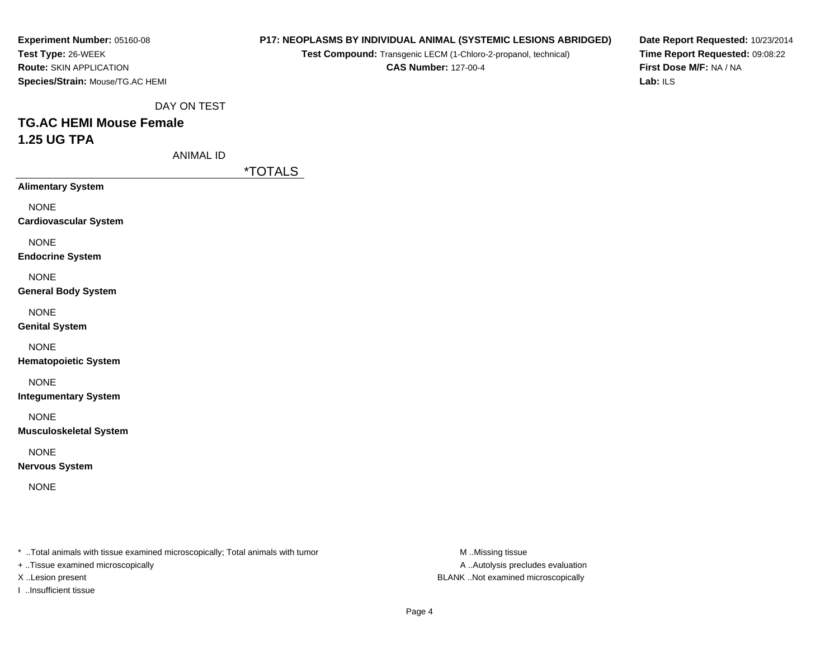**Experiment Number:** 05160-08**Test Type:** 26-WEEK **Route:** SKIN APPLICATION**Species/Strain:** Mouse/TG.AC HEMI

#### **P17: NEOPLASMS BY INDIVIDUAL ANIMAL (SYSTEMIC LESIONS ABRIDGED)**

**Test Compound:** Transgenic LECM (1-Chloro-2-propanol, technical)

**CAS Number:** 127-00-4

**Date Report Requested:** 10/23/2014**Time Report Requested:** 09:08:22**First Dose M/F:** NA / NA**Lab:** ILS

DAY ON TEST

# **TG.AC HEMI Mouse Female1.25 UG TPA**

ANIMAL ID

\*TOTALS

**Alimentary System**NONE **Cardiovascular System**NONE **Endocrine System**NONE

**General Body System**

NONE

**Genital System**

NONE

**Hematopoietic System**

NONE

**Integumentary System**

NONE

**Musculoskeletal System**

NONE

**Nervous System**

NONE

\* ..Total animals with tissue examined microscopically; Total animals with tumor **M** ..Missing tissue M ..Missing tissue

+ ..Tissue examined microscopically

I ..Insufficient tissue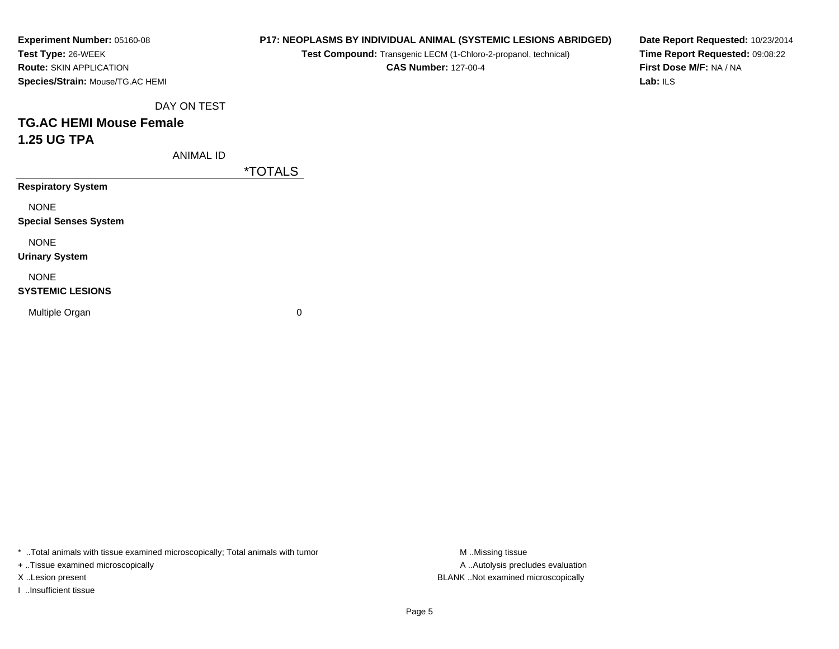| Experiment Number: 05160-08      |
|----------------------------------|
| Test Type: 26-WEEK               |
| <b>Route: SKIN APPLICATION</b>   |
| Species/Strain: Mouse/TG.AC HEMI |

**Test Compound:** Transgenic LECM (1-Chloro-2-propanol, technical)

**CAS Number:** 127-00-4

**Date Report Requested:** 10/23/2014**Time Report Requested:** 09:08:22**First Dose M/F:** NA / NA**Lab:** ILS

DAY ON TEST

# **TG.AC HEMI Mouse Female1.25 UG TPA**

ANIMAL ID

\*TOTALS

**Respiratory System**

NONE

**Special Senses System**

NONE

**Urinary System**

NONE

### **SYSTEMIC LESIONS**

Multiple Organ

 $\mathbf n$  0

\* ..Total animals with tissue examined microscopically; Total animals with tumor **M** ...Missing tissue M ...Missing tissue

+ ..Tissue examined microscopically

I ..Insufficient tissue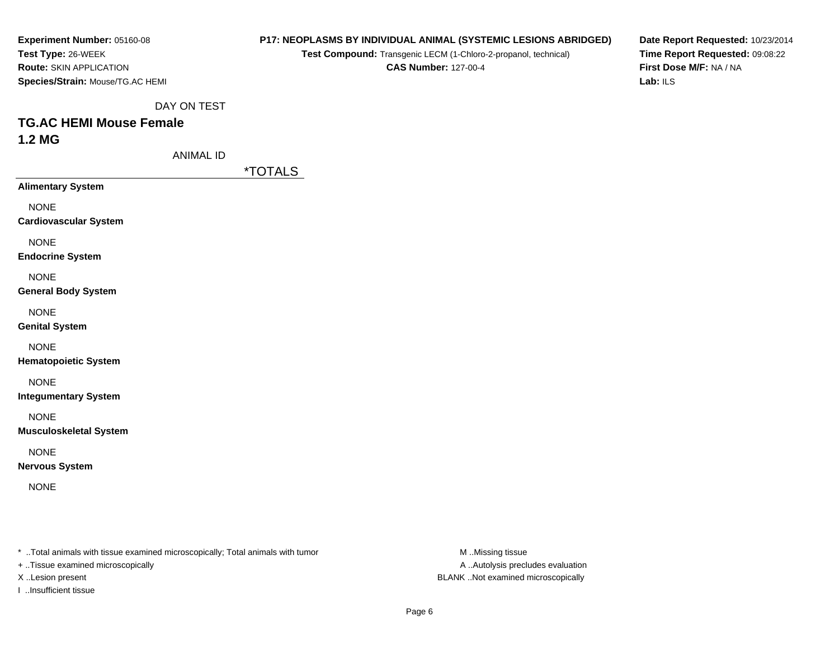| Experiment Number: 05160-08      |
|----------------------------------|
| <b>Test Type: 26-WEEK</b>        |
| <b>Route: SKIN APPLICATION</b>   |
| Species/Strain: Mouse/TG.AC HEMI |

**Test Compound:** Transgenic LECM (1-Chloro-2-propanol, technical)

**CAS Number:** 127-00-4

**Date Report Requested:** 10/23/2014**Time Report Requested:** 09:08:22**First Dose M/F:** NA / NA**Lab:** ILS

DAY ON TEST

# **TG.AC HEMI Mouse Female1.2 MG**

ANIMAL ID

\*TOTALS

**Alimentary System**

NONE

**Cardiovascular System**

NONE

**Endocrine System**

NONE

**General Body System**

NONE

**Genital System**

NONE

**Hematopoietic System**

NONE

**Integumentary System**

NONE

**Musculoskeletal System**

NONE

**Nervous System**

NONE

\* ..Total animals with tissue examined microscopically; Total animals with tumor **M** ..Missing tissue M ..Missing tissue

+ ..Tissue examined microscopically

I ..Insufficient tissue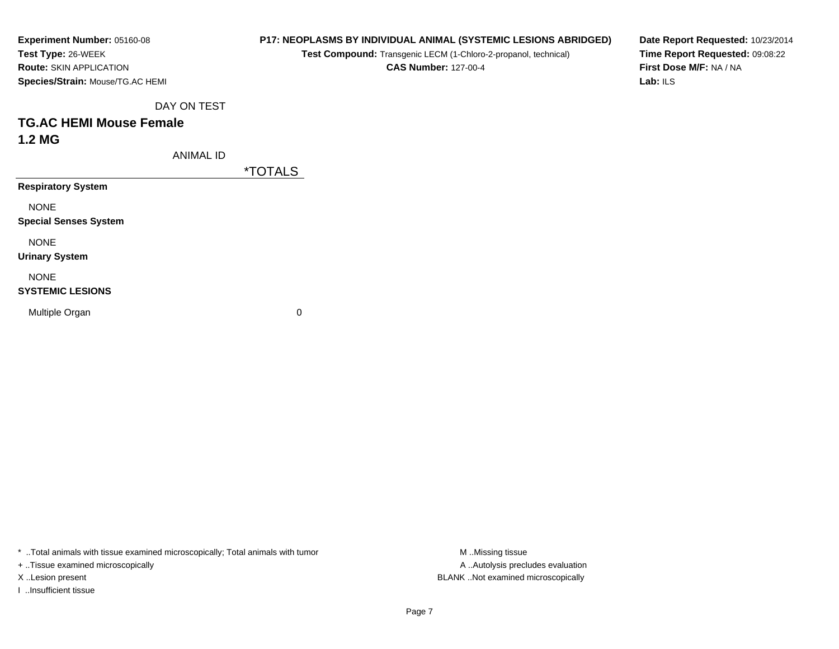| <b>Experiment Number: 05160-08</b> |
|------------------------------------|
| Test Type: 26-WEEK                 |
| <b>Route: SKIN APPLICATION</b>     |
| Species/Strain: Mouse/TG.AC HEMI   |

**Test Compound:** Transgenic LECM (1-Chloro-2-propanol, technical)

**CAS Number:** 127-00-4

**Date Report Requested:** 10/23/2014**Time Report Requested:** 09:08:22**First Dose M/F:** NA / NA**Lab:** ILS

DAY ON TEST

## **TG.AC HEMI Mouse Female1.2 MG**

ANIMAL ID

\*TOTALS

**Respiratory System**

NONE

**Special Senses System**

NONE

**Urinary System**

NONE

### **SYSTEMIC LESIONS**

Multiple Organ

 $\mathbf n$  0

\* ..Total animals with tissue examined microscopically; Total animals with tumor **M** ...Missing tissue M ...Missing tissue

+ ..Tissue examined microscopically

I ..Insufficient tissue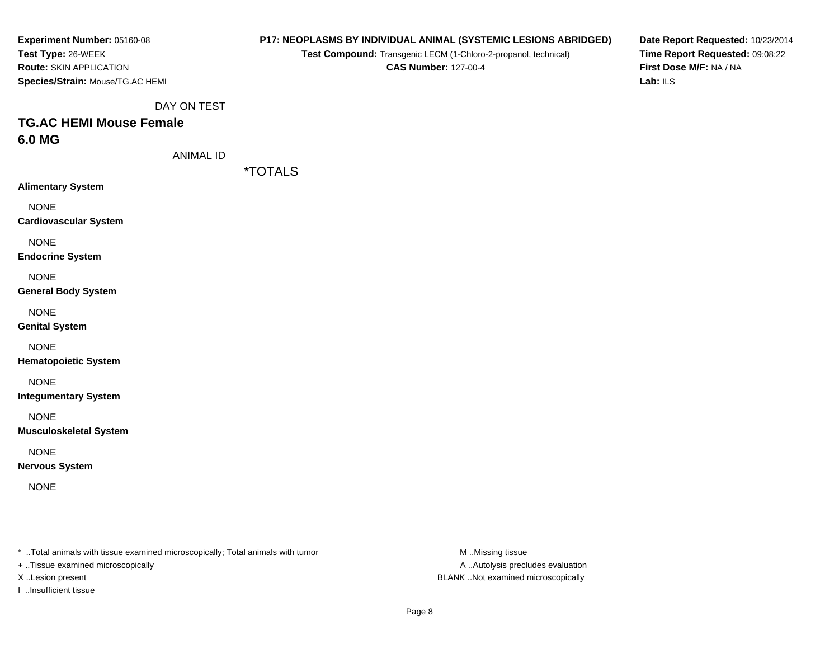| Experiment Number: 05160-08      |
|----------------------------------|
| Test Type: 26-WEEK               |
| <b>Route: SKIN APPLICATION</b>   |
| Species/Strain: Mouse/TG.AC HEMI |

**Test Compound:** Transgenic LECM (1-Chloro-2-propanol, technical)

**CAS Number:** 127-00-4

**Date Report Requested:** 10/23/2014**Time Report Requested:** 09:08:22**First Dose M/F:** NA / NA**Lab:** ILS

DAY ON TEST

# **TG.AC HEMI Mouse Female6.0 MG**

ANIMAL ID

\*TOTALS

**Alimentary System**

NONE

**Cardiovascular System**

NONE

**Endocrine System**

NONE

**General Body System**

NONE

**Genital System**

NONE

**Hematopoietic System**

NONE

**Integumentary System**

NONE

**Musculoskeletal System**

NONE

**Nervous System**

NONE

\* ..Total animals with tissue examined microscopically; Total animals with tumor **M** ..Missing tissue M ..Missing tissue

+ ..Tissue examined microscopically

I ..Insufficient tissue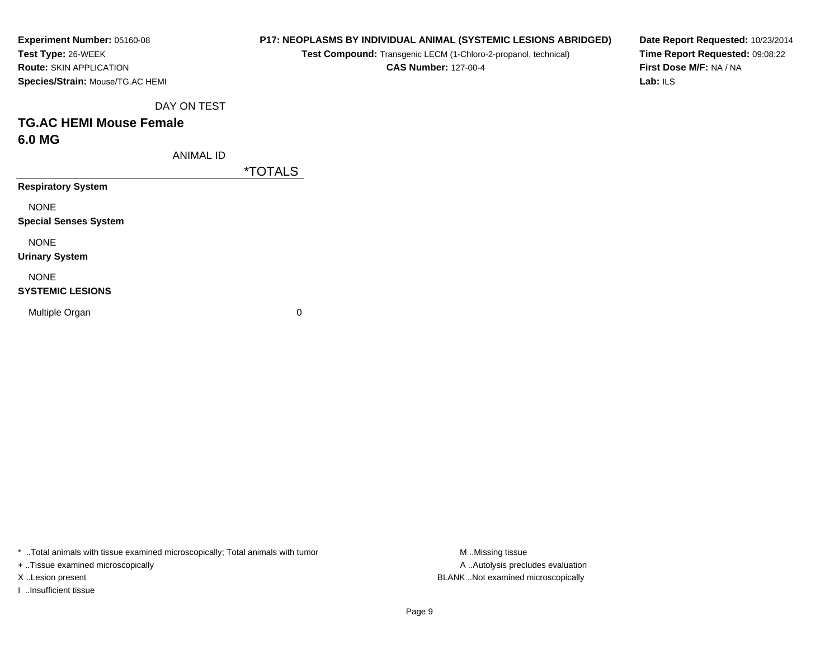| <b>Experiment Number: 05160-08</b>      |
|-----------------------------------------|
| Test Type: 26-WEEK                      |
| <b>Route: SKIN APPLICATION</b>          |
| <b>Species/Strain: Mouse/TG.AC HEMI</b> |

**Test Compound:** Transgenic LECM (1-Chloro-2-propanol, technical)

**CAS Number:** 127-00-4

**Date Report Requested:** 10/23/2014**Time Report Requested:** 09:08:22**First Dose M/F:** NA / NA**Lab:** ILS

DAY ON TEST

# **TG.AC HEMI Mouse Female6.0 MG**

ANIMAL ID

\*TOTALS

**Respiratory System**

NONE

**Special Senses System**

NONE

**Urinary System**

NONE

### **SYSTEMIC LESIONS**

Multiple Organ

 $\mathbf n$  0

\* ..Total animals with tissue examined microscopically; Total animals with tumor **M** ...Missing tissue M ...Missing tissue

+ ..Tissue examined microscopically

I ..Insufficient tissue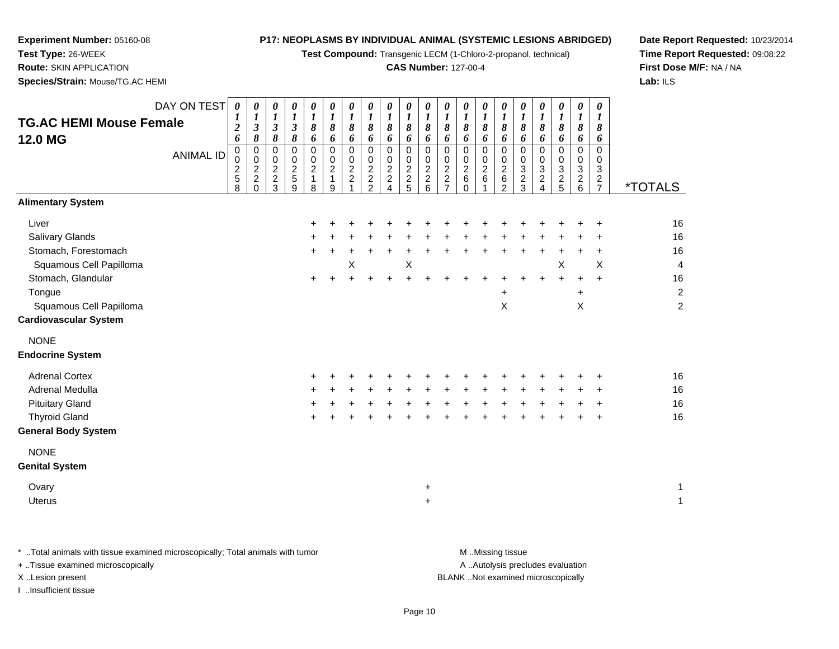**Test Compound:** Transgenic LECM (1-Chloro-2-propanol, technical)

### **CAS Number:** 127-00-4

**Date Report Requested:** 10/23/2014**Time Report Requested:** 09:08:22**First Dose M/F:** NA / NA**Lab:** ILS

**Test Type:** 26-WEEK **Route:** SKIN APPLICATION**Species/Strain:** Mouse/TG.AC HEMI

**Experiment Number:** 05160-08

| <b>TG.AC HEMI Mouse Female</b><br><b>12.0 MG</b><br><b>Alimentary System</b>                                                                                                                                                         | DAY ON TEST<br><b>ANIMAL ID</b> | $\boldsymbol{\theta}$<br>$\boldsymbol{l}$<br>$\overline{\mathbf{c}}$<br>6<br>$\mathbf 0$<br>$\mathbf 0$<br>$\boldsymbol{2}$<br>$\overline{5}$<br>8 | $\boldsymbol{\theta}$<br>$\boldsymbol{l}$<br>$\mathfrak{z}$<br>$\boldsymbol{\delta}$<br>$\mathbf 0$<br>$\mathbf 0$<br>$\overline{2}$<br>$\overline{c}$<br>0 | $\boldsymbol{\theta}$<br>$\boldsymbol{l}$<br>$\mathfrak{z}$<br>$\boldsymbol{\delta}$<br>$\mathbf 0$<br>$\mathbf 0$<br>$\frac{2}{3}$ | 0<br>$\boldsymbol{l}$<br>$\mathfrak{z}$<br>$\boldsymbol{\delta}$<br>$\mathsf{O}\xspace$<br>$0$<br>$5$<br>$9$ | $\boldsymbol{\theta}$<br>$\boldsymbol{l}$<br>$\pmb{8}$<br>6<br>$\mathsf 0$<br>0<br>$\overline{2}$<br>$\mathbf{1}$<br>8 | 0<br>1<br>8<br>6<br>$\pmb{0}$<br>0<br>$\overline{2}$<br>$\mathbf{1}$<br>9 | $\pmb{\theta}$<br>$\boldsymbol{l}$<br>8<br>6<br>$\pmb{0}$<br>0<br>$\overline{2}$<br>$\overline{a}$ | 0<br>$\boldsymbol{l}$<br>$\pmb{8}$<br>6<br>$\mathbf 0$<br>$\mathbf 0$<br>$\overline{2}$<br>$\frac{2}{2}$ | 0<br>$\boldsymbol{l}$<br>8<br>6<br>0<br>0<br>$\overline{2}$<br>$\frac{2}{4}$ | 0<br>$\boldsymbol{l}$<br>8<br>6<br>$\mathbf 0$<br>0<br>$\overline{2}$<br>$\frac{2}{5}$ | $\boldsymbol{\theta}$<br>$\boldsymbol{l}$<br>$\pmb{8}$<br>6<br>$\mathbf 0$<br>0<br>$\overline{2}$<br>$\overline{c}$<br>$\,6\,$ | $\boldsymbol{\theta}$<br>$\boldsymbol{l}$<br>$\pmb{8}$<br>$\boldsymbol{6}$<br>$\mathbf 0$<br>$\mathbf 0$<br>$\overline{2}$<br>$\frac{2}{7}$ | 0<br>$\boldsymbol{l}$<br>$\pmb{8}$<br>6<br>0<br>$\mathsf 0$<br>$\overline{2}$<br>$\,6\,$<br>$\Omega$ | $\pmb{\theta}$<br>$\boldsymbol{l}$<br>8<br>6<br>$\pmb{0}$<br>0<br>$\overline{2}$<br>$\,6$ | 0<br>1<br>8<br>6<br>$\mathbf 0$<br>0<br>$\overline{2}$<br>6<br>$\overline{2}$ | 0<br>$\boldsymbol{l}$<br>8<br>6<br>$\pmb{0}$<br>0<br>$\sqrt{3}$<br>$\overline{c}$<br>$\mathbf{3}$ | 0<br>$\boldsymbol{l}$<br>8<br>6<br>$\mathbf 0$<br>0<br>$\sqrt{3}$<br>$\frac{2}{4}$ | 0<br>$\boldsymbol{l}$<br>8<br>6<br>0<br>0<br>$\overline{3}$<br>$\frac{2}{5}$ | $\pmb{\theta}$<br>$\boldsymbol{l}$<br>8<br>6<br>$\mathbf 0$<br>$\mathbf 0$<br>$\overline{3}$<br>$\frac{2}{6}$ | $\boldsymbol{\theta}$<br>$\bm{l}$<br>8<br>6<br>$\mathbf 0$<br>$\mathbf 0$<br>$\mathbf{3}$<br>$\frac{2}{7}$ | <i><b>*TOTALS</b></i>                                                        |
|--------------------------------------------------------------------------------------------------------------------------------------------------------------------------------------------------------------------------------------|---------------------------------|----------------------------------------------------------------------------------------------------------------------------------------------------|-------------------------------------------------------------------------------------------------------------------------------------------------------------|-------------------------------------------------------------------------------------------------------------------------------------|--------------------------------------------------------------------------------------------------------------|------------------------------------------------------------------------------------------------------------------------|---------------------------------------------------------------------------|----------------------------------------------------------------------------------------------------|----------------------------------------------------------------------------------------------------------|------------------------------------------------------------------------------|----------------------------------------------------------------------------------------|--------------------------------------------------------------------------------------------------------------------------------|---------------------------------------------------------------------------------------------------------------------------------------------|------------------------------------------------------------------------------------------------------|-------------------------------------------------------------------------------------------|-------------------------------------------------------------------------------|---------------------------------------------------------------------------------------------------|------------------------------------------------------------------------------------|------------------------------------------------------------------------------|---------------------------------------------------------------------------------------------------------------|------------------------------------------------------------------------------------------------------------|------------------------------------------------------------------------------|
| Liver<br><b>Salivary Glands</b><br>Stomach, Forestomach<br>Squamous Cell Papilloma<br>Stomach, Glandular<br>Tongue<br>Squamous Cell Papilloma<br><b>Cardiovascular System</b>                                                        |                                 |                                                                                                                                                    |                                                                                                                                                             |                                                                                                                                     |                                                                                                              | $\pm$                                                                                                                  |                                                                           | X                                                                                                  |                                                                                                          |                                                                              | X                                                                                      |                                                                                                                                |                                                                                                                                             |                                                                                                      |                                                                                           | +<br>X                                                                        |                                                                                                   |                                                                                    | X<br>$\ddot{}$                                                               | $\ddot{}$<br>$\ddot{}$<br>X                                                                                   | ÷<br>$\ddot{}$<br>$\boldsymbol{\mathsf{X}}$<br>$\ddot{}$                                                   | 16<br>16<br>16<br>$\overline{4}$<br>16<br>$\boldsymbol{2}$<br>$\overline{c}$ |
| <b>NONE</b><br><b>Endocrine System</b><br><b>Adrenal Cortex</b><br>Adrenal Medulla<br><b>Pituitary Gland</b><br><b>Thyroid Gland</b><br><b>General Body System</b><br><b>NONE</b><br><b>Genital System</b><br>Ovary<br><b>Uterus</b> |                                 |                                                                                                                                                    |                                                                                                                                                             |                                                                                                                                     |                                                                                                              |                                                                                                                        |                                                                           |                                                                                                    |                                                                                                          |                                                                              |                                                                                        | $\ddot{}$<br>$\ddot{}$                                                                                                         |                                                                                                                                             |                                                                                                      |                                                                                           |                                                                               |                                                                                                   |                                                                                    |                                                                              |                                                                                                               | $\ddot{}$                                                                                                  | 16<br>16<br>16<br>16<br>1<br>$\mathbf{1}$                                    |

\* ..Total animals with tissue examined microscopically; Total animals with tumor **M** . Missing tissue M ..Missing tissue + ..Tissue examined microscopically X ..Lesion present BLANK ..Not examined microscopically

I ..Insufficient tissue

A ..Autolysis precludes evaluation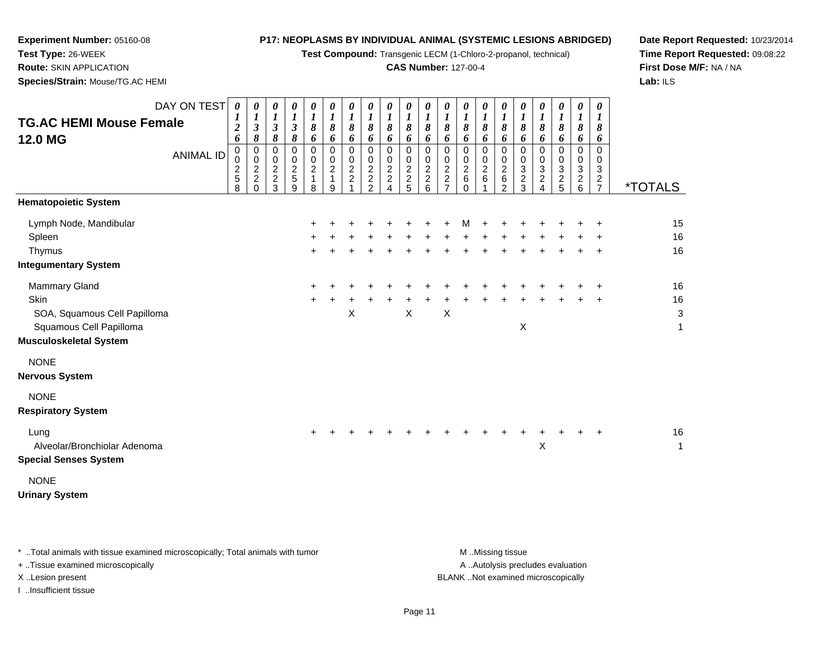**Test Compound:** Transgenic LECM (1-Chloro-2-propanol, technical)

### **CAS Number:** 127-00-4

**Date Report Requested:** 10/23/2014**Time Report Requested:** 09:08:22**First Dose M/F:** NA / NA**Lab:** ILS

**Test Type:** 26-WEEK **Route:** SKIN APPLICATION**Species/Strain:** Mouse/TG.AC HEMI

**Experiment Number:** 05160-08

| <b>TG.AC HEMI Mouse Female</b><br>12.0 MG                                                                         | DAY ON TEST<br><b>ANIMAL ID</b> | 0<br>$\boldsymbol{l}$<br>$\boldsymbol{2}$<br>6<br>0<br>0<br>$\overline{c}$<br>5<br>8 | 0<br>$\boldsymbol{l}$<br>$\mathfrak{z}$<br>$\pmb{8}$<br>0<br>0<br>$\overline{c}$<br>$\overline{c}$<br>$\Omega$ | 0<br>$\boldsymbol{l}$<br>$\mathfrak{z}$<br>$\pmb{8}$<br>$\pmb{0}$<br>0<br>$\frac{2}{3}$ | 0<br>$\boldsymbol{l}$<br>$\mathfrak{z}$<br>8<br>0<br>0<br>$\overline{c}$<br>$\sqrt{5}$<br>9 | 0<br>$\boldsymbol{l}$<br>8<br>6<br>0<br>0<br>$\overline{c}$<br>1<br>8 | 0<br>$\boldsymbol{l}$<br>8<br>6<br>0<br>0<br>$\boldsymbol{2}$<br>$\mathbf{1}$<br>9 | 0<br>$\boldsymbol{l}$<br>$\pmb{8}$<br>6<br>$\mathsf{O}\xspace$<br>0<br>$\overline{c}$<br>$\boldsymbol{2}$ | 0<br>$\frac{1}{8}$<br>6<br>0<br>$\frac{0}{2}$<br>2<br>2 | 0<br>$\boldsymbol{l}$<br>$\pmb{8}$<br>6<br>$\mathsf 0$<br>0<br>$\frac{2}{2}$ | 0<br>$\boldsymbol{l}$<br>8<br>6<br>$\mathbf 0$<br>0<br>$\frac{2}{2}$ | 0<br>$\boldsymbol{l}$<br>$\pmb{8}$<br>6<br>$\mathbf 0$<br>0<br>$\frac{2}{2}$<br>6 | 0<br>$\boldsymbol{l}$<br>8<br>6<br>$\mathbf 0$<br>0<br>$\overline{c}$<br>$\overline{c}$<br>$\overline{7}$ | 0<br>$\boldsymbol{l}$<br>8<br>6<br>0<br>$\pmb{0}$<br>$\boldsymbol{2}$<br>6<br>$\Omega$ | 0<br>$\boldsymbol{l}$<br>8<br>6<br>0<br>0<br>$\boldsymbol{2}$<br>$\,6$ | 0<br>$\boldsymbol{l}$<br>8<br>6<br>0<br>0<br>$\boldsymbol{2}$<br>6<br>$\overline{2}$ | 0<br>$\boldsymbol{l}$<br>8<br>6<br>0<br>0<br>3<br>$\overline{c}$<br>3 | 0<br>$\boldsymbol{l}$<br>8<br>6<br>0<br>0<br>3<br>$\overline{c}$<br>$\overline{4}$ | 0<br>$\boldsymbol{l}$<br>8<br>6<br>0<br>0<br>$\sqrt{3}$<br>$\frac{2}{5}$ | 0<br>$\boldsymbol{l}$<br>$\pmb{8}$<br>6<br>0<br>0<br>3<br>$\frac{2}{6}$ | 0<br>$\boldsymbol{l}$<br>8<br>6<br>$\mathbf 0$<br>0<br>$\mathbf{3}$<br>$\frac{2}{7}$ | <i><b>*TOTALS</b></i> |
|-------------------------------------------------------------------------------------------------------------------|---------------------------------|--------------------------------------------------------------------------------------|----------------------------------------------------------------------------------------------------------------|-----------------------------------------------------------------------------------------|---------------------------------------------------------------------------------------------|-----------------------------------------------------------------------|------------------------------------------------------------------------------------|-----------------------------------------------------------------------------------------------------------|---------------------------------------------------------|------------------------------------------------------------------------------|----------------------------------------------------------------------|-----------------------------------------------------------------------------------|-----------------------------------------------------------------------------------------------------------|----------------------------------------------------------------------------------------|------------------------------------------------------------------------|--------------------------------------------------------------------------------------|-----------------------------------------------------------------------|------------------------------------------------------------------------------------|--------------------------------------------------------------------------|-------------------------------------------------------------------------|--------------------------------------------------------------------------------------|-----------------------|
| <b>Hematopoietic System</b><br>Lymph Node, Mandibular<br>Spleen<br>Thymus<br><b>Integumentary System</b>          |                                 |                                                                                      |                                                                                                                |                                                                                         |                                                                                             | ÷                                                                     |                                                                                    |                                                                                                           |                                                         |                                                                              |                                                                      |                                                                                   |                                                                                                           | М                                                                                      |                                                                        |                                                                                      |                                                                       |                                                                                    |                                                                          |                                                                         | $\ddot{}$                                                                            | 15<br>16<br>16        |
| Mammary Gland<br>Skin<br>SOA, Squamous Cell Papilloma<br>Squamous Cell Papilloma<br><b>Musculoskeletal System</b> |                                 |                                                                                      |                                                                                                                |                                                                                         |                                                                                             | $\ddot{}$<br>$\ddot{}$                                                |                                                                                    | X                                                                                                         |                                                         |                                                                              | X                                                                    |                                                                                   | X                                                                                                         |                                                                                        |                                                                        |                                                                                      | $\times$                                                              |                                                                                    |                                                                          |                                                                         |                                                                                      | 16<br>16<br>3<br>1    |
| <b>NONE</b><br><b>Nervous System</b><br><b>NONE</b><br><b>Respiratory System</b>                                  |                                 |                                                                                      |                                                                                                                |                                                                                         |                                                                                             |                                                                       |                                                                                    |                                                                                                           |                                                         |                                                                              |                                                                      |                                                                                   |                                                                                                           |                                                                                        |                                                                        |                                                                                      |                                                                       |                                                                                    |                                                                          |                                                                         |                                                                                      |                       |
| Lung<br>Alveolar/Bronchiolar Adenoma<br><b>Special Senses System</b><br><b>NONE</b>                               |                                 |                                                                                      |                                                                                                                |                                                                                         |                                                                                             | $\pm$                                                                 |                                                                                    |                                                                                                           |                                                         |                                                                              |                                                                      |                                                                                   |                                                                                                           |                                                                                        |                                                                        |                                                                                      |                                                                       | +<br>Χ                                                                             |                                                                          |                                                                         | $\ddot{}$                                                                            | 16<br>1               |

**Urinary System**

\* ..Total animals with tissue examined microscopically; Total animals with tumor **M** . Missing tissue M ..Missing tissue

+ ..Tissue examined microscopically

I ..Insufficient tissue

A ..Autolysis precludes evaluation

X ..Lesion present BLANK ..Not examined microscopically